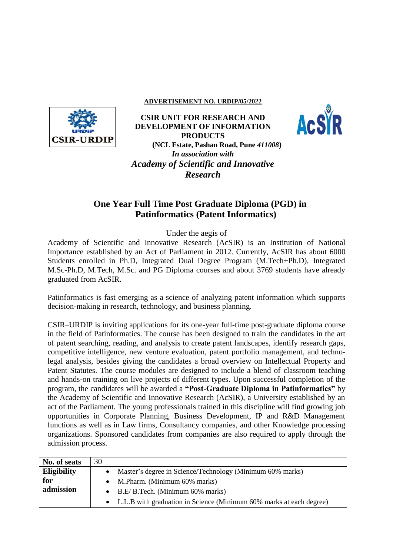## **ADVERTISEMENT NO. URDIP/05/2022**



**CSIR UNIT FOR RESEARCH AND DEVELOPMENT OF INFORMATION PRODUCTS (NCL Estate, Pashan Road, Pune** *411008***)** *In association with Academy of Scientific and Innovative Research*



## **One Year Full Time Post Graduate Diploma (PGD) in Patinformatics (Patent Informatics)**

Under the aegis of

Academy of Scientific and Innovative Research (AcSIR) is an Institution of National Importance established by an Act of Parliament in 2012. Currently, AcSIR has about 6000 Students enrolled in Ph.D, Integrated Dual Degree Program (M.Tech+Ph.D), Integrated M.Sc-Ph.D, M.Tech, M.Sc. and PG Diploma courses and about 3769 students have already graduated from AcSIR.

Patinformatics is fast emerging as a science of analyzing patent information which supports decision-making in research, technology, and business planning.

CSIR–URDIP is inviting applications for its one-year full-time post-graduate diploma course in the field of Patinformatics. The course has been designed to train the candidates in the art of patent searching, reading, and analysis to create patent landscapes, identify research gaps, competitive intelligence, new venture evaluation, patent portfolio management, and technolegal analysis, besides giving the candidates a broad overview on Intellectual Property and Patent Statutes. The course modules are designed to include a blend of classroom teaching and hands-on training on live projects of different types. Upon successful completion of the program, the candidates will be awarded a **"Post-Graduate Diploma in Patinformatics"** by the Academy of Scientific and Innovative Research (AcSIR), a University established by an act of the Parliament. The young professionals trained in this discipline will find growing job opportunities in Corporate Planning, Business Development, IP and R&D Management functions as well as in Law firms, Consultancy companies, and other Knowledge processing organizations. Sponsored candidates from companies are also required to apply through the admission process.

| No. of seats       | 30                                                                    |
|--------------------|-----------------------------------------------------------------------|
| <b>Eligibility</b> | Master's degree in Science/Technology (Minimum 60% marks)             |
| for                | M.Pharm. (Minimum 60% marks)                                          |
| admission          | $\bullet$ B.E/B.Tech. (Minimum 60% marks)                             |
|                    | • L.L.B with graduation in Science (Minimum 60% marks at each degree) |